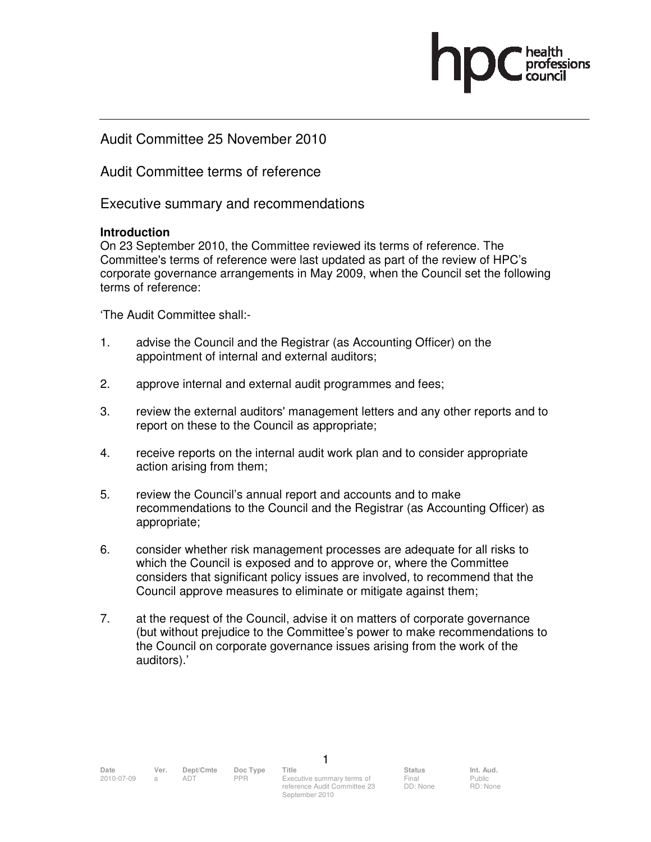Audit Committee 25 November 2010

Audit Committee terms of reference

Executive summary and recommendations

### **Introduction**

On 23 September 2010, the Committee reviewed its terms of reference. The Committee's terms of reference were last updated as part of the review of HPC's corporate governance arrangements in May 2009, when the Council set the following terms of reference:

'The Audit Committee shall:-

- 1. advise the Council and the Registrar (as Accounting Officer) on the appointment of internal and external auditors;
- 2. approve internal and external audit programmes and fees;
- 3. review the external auditors' management letters and any other reports and to report on these to the Council as appropriate;
- 4. receive reports on the internal audit work plan and to consider appropriate action arising from them;
- 5. review the Council's annual report and accounts and to make recommendations to the Council and the Registrar (as Accounting Officer) as appropriate;
- 6. consider whether risk management processes are adequate for all risks to which the Council is exposed and to approve or, where the Committee considers that significant policy issues are involved, to recommend that the Council approve measures to eliminate or mitigate against them;
- 7. at the request of the Council, advise it on matters of corporate governance (but without prejudice to the Committee's power to make recommendations to the Council on corporate governance issues arising from the work of the auditors).'

1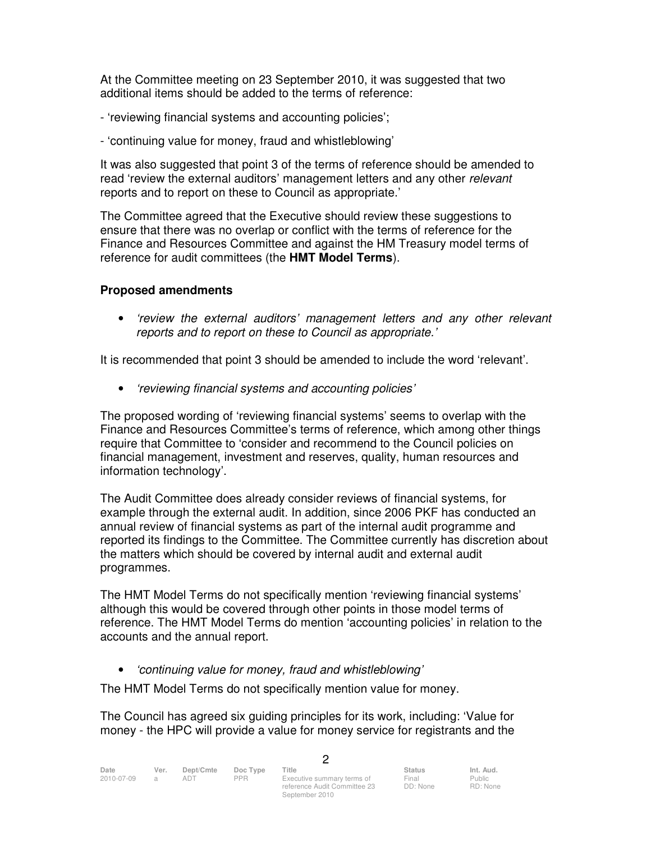At the Committee meeting on 23 September 2010, it was suggested that two additional items should be added to the terms of reference:

- 'reviewing financial systems and accounting policies';
- 'continuing value for money, fraud and whistleblowing'

It was also suggested that point 3 of the terms of reference should be amended to read 'review the external auditors' management letters and any other *relevant* reports and to report on these to Council as appropriate.'

The Committee agreed that the Executive should review these suggestions to ensure that there was no overlap or conflict with the terms of reference for the Finance and Resources Committee and against the HM Treasury model terms of reference for audit committees (the **HMT Model Terms**).

# **Proposed amendments**

• 'review the external auditors' management letters and any other relevant reports and to report on these to Council as appropriate.'

It is recommended that point 3 should be amended to include the word 'relevant'.

• 'reviewing financial systems and accounting policies'

The proposed wording of 'reviewing financial systems' seems to overlap with the Finance and Resources Committee's terms of reference, which among other things require that Committee to 'consider and recommend to the Council policies on financial management, investment and reserves, quality, human resources and information technology'.

The Audit Committee does already consider reviews of financial systems, for example through the external audit. In addition, since 2006 PKF has conducted an annual review of financial systems as part of the internal audit programme and reported its findings to the Committee. The Committee currently has discretion about the matters which should be covered by internal audit and external audit programmes.

The HMT Model Terms do not specifically mention 'reviewing financial systems' although this would be covered through other points in those model terms of reference. The HMT Model Terms do mention 'accounting policies' in relation to the accounts and the annual report.

• 'continuing value for money, fraud and whistleblowing'

The HMT Model Terms do not specifically mention value for money.

The Council has agreed six guiding principles for its work, including: 'Value for money - the HPC will provide a value for money service for registrants and the

2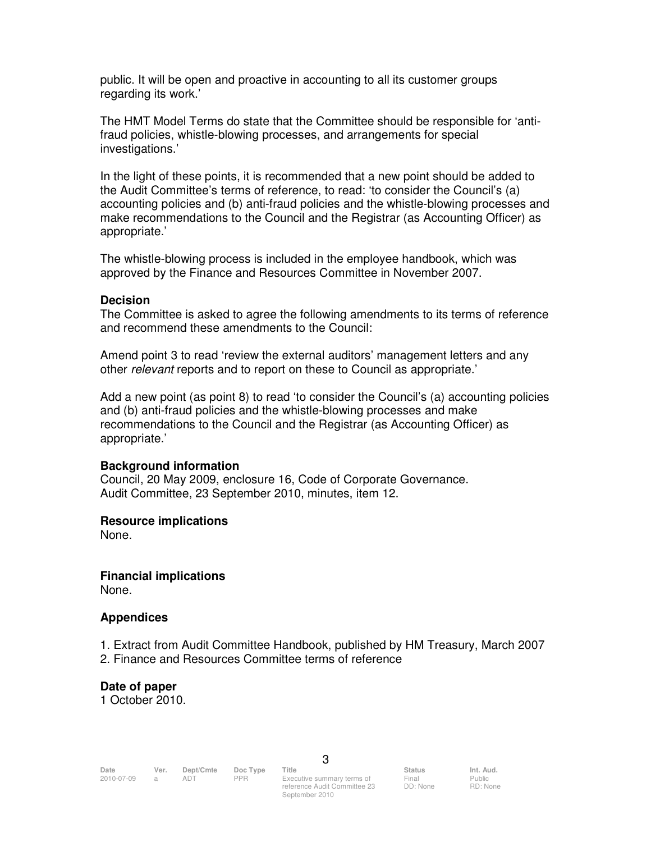public. It will be open and proactive in accounting to all its customer groups regarding its work.'

The HMT Model Terms do state that the Committee should be responsible for 'antifraud policies, whistle-blowing processes, and arrangements for special investigations.'

In the light of these points, it is recommended that a new point should be added to the Audit Committee's terms of reference, to read: 'to consider the Council's (a) accounting policies and (b) anti-fraud policies and the whistle-blowing processes and make recommendations to the Council and the Registrar (as Accounting Officer) as appropriate.'

The whistle-blowing process is included in the employee handbook, which was approved by the Finance and Resources Committee in November 2007.

#### **Decision**

The Committee is asked to agree the following amendments to its terms of reference and recommend these amendments to the Council:

Amend point 3 to read 'review the external auditors' management letters and any other relevant reports and to report on these to Council as appropriate.'

Add a new point (as point 8) to read 'to consider the Council's (a) accounting policies and (b) anti-fraud policies and the whistle-blowing processes and make recommendations to the Council and the Registrar (as Accounting Officer) as appropriate.'

### **Background information**

Council, 20 May 2009, enclosure 16, Code of Corporate Governance. Audit Committee, 23 September 2010, minutes, item 12.

### **Resource implications**

None.

### **Financial implications**

None.

### **Appendices**

- 1. Extract from Audit Committee Handbook, published by HM Treasury, March 2007
- 2. Finance and Resources Committee terms of reference

### **Date of paper**

1 October 2010.

RD: None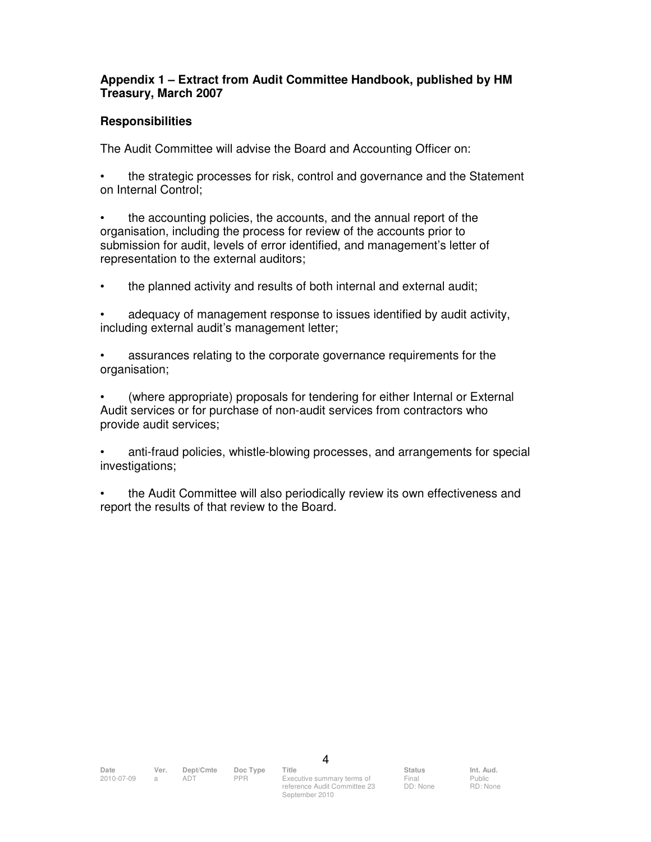## **Appendix 1 – Extract from Audit Committee Handbook, published by HM Treasury, March 2007**

### **Responsibilities**

The Audit Committee will advise the Board and Accounting Officer on:

• the strategic processes for risk, control and governance and the Statement on Internal Control;

• the accounting policies, the accounts, and the annual report of the organisation, including the process for review of the accounts prior to submission for audit, levels of error identified, and management's letter of representation to the external auditors;

• the planned activity and results of both internal and external audit;

• adequacy of management response to issues identified by audit activity, including external audit's management letter;

• assurances relating to the corporate governance requirements for the organisation;

• (where appropriate) proposals for tendering for either Internal or External Audit services or for purchase of non-audit services from contractors who provide audit services;

• anti-fraud policies, whistle-blowing processes, and arrangements for special investigations;

• the Audit Committee will also periodically review its own effectiveness and report the results of that review to the Board.

Public RD: None